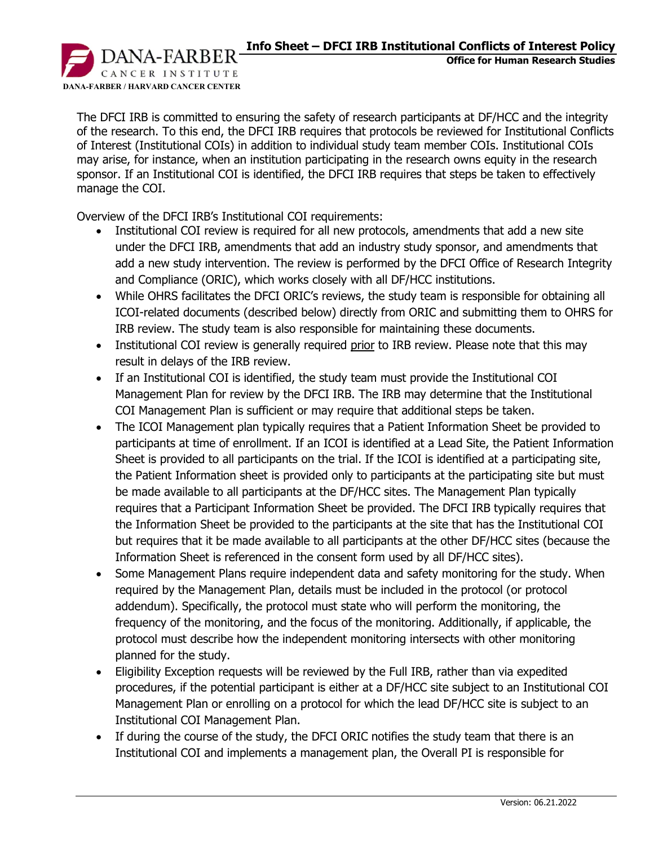**Office for Human Research Studies**

CANCER INSTITUTE **DANA-FARBER / HARVARD CANCER CENTER**

The DFCI IRB is committed to ensuring the safety of research participants at DF/HCC and the integrity of the research. To this end, the DFCI IRB requires that protocols be reviewed for Institutional Conflicts of Interest (Institutional COIs) in addition to individual study team member COIs. Institutional COIs may arise, for instance, when an institution participating in the research owns equity in the research sponsor. If an Institutional COI is identified, the DFCI IRB requires that steps be taken to effectively manage the COI.

Overview of the DFCI IRB's Institutional COI requirements:

- Institutional COI review is required for all new protocols, amendments that add a new site under the DFCI IRB, amendments that add an industry study sponsor, and amendments that add a new study intervention. The review is performed by the DFCI Office of Research Integrity and Compliance (ORIC), which works closely with all DF/HCC institutions.
- While OHRS facilitates the DFCI ORIC's reviews, the study team is responsible for obtaining all ICOI-related documents (described below) directly from ORIC and submitting them to OHRS for IRB review. The study team is also responsible for maintaining these documents.
- Institutional COI review is generally required prior to IRB review. Please note that this may result in delays of the IRB review.
- If an Institutional COI is identified, the study team must provide the Institutional COI Management Plan for review by the DFCI IRB. The IRB may determine that the Institutional COI Management Plan is sufficient or may require that additional steps be taken.
- The ICOI Management plan typically requires that a Patient Information Sheet be provided to participants at time of enrollment. If an ICOI is identified at a Lead Site, the Patient Information Sheet is provided to all participants on the trial. If the ICOI is identified at a participating site, the Patient Information sheet is provided only to participants at the participating site but must be made available to all participants at the DF/HCC sites. The Management Plan typically requires that a Participant Information Sheet be provided. The DFCI IRB typically requires that the Information Sheet be provided to the participants at the site that has the Institutional COI but requires that it be made available to all participants at the other DF/HCC sites (because the Information Sheet is referenced in the consent form used by all DF/HCC sites).
- Some Management Plans require independent data and safety monitoring for the study. When required by the Management Plan, details must be included in the protocol (or protocol addendum). Specifically, the protocol must state who will perform the monitoring, the frequency of the monitoring, and the focus of the monitoring. Additionally, if applicable, the protocol must describe how the independent monitoring intersects with other monitoring planned for the study.
- Eligibility Exception requests will be reviewed by the Full IRB, rather than via expedited procedures, if the potential participant is either at a DF/HCC site subject to an Institutional COI Management Plan or enrolling on a protocol for which the lead DF/HCC site is subject to an Institutional COI Management Plan.
- If during the course of the study, the DFCI ORIC notifies the study team that there is an Institutional COI and implements a management plan, the Overall PI is responsible for